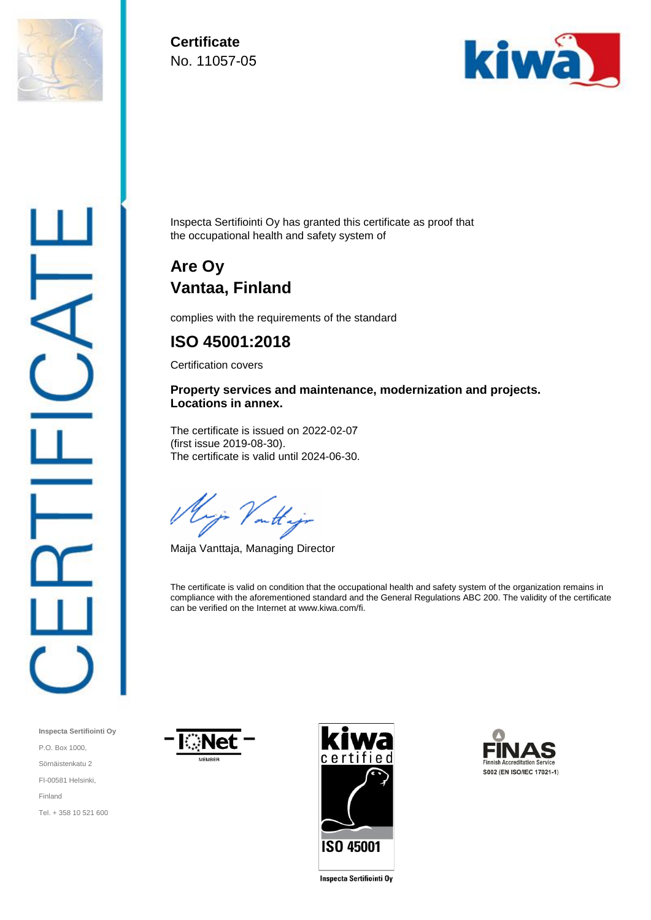

**Certificate**  No. 11057-05



Inspecta Sertifiointi Oy has granted this certificate as proof that the occupational health and safety system of

# **Are Oy Vantaa, Finland**

complies with the requirements of the standard

## **ISO 45001:2018**

Certification covers

### **Property services and maintenance, modernization and projects. Locations in annex.**

The certificate is issued on 2022-02-07 (first issue 2019-08-30). The certificate is valid until 2024-06-30.

Vout

Maija Vanttaja, Managing Director

The certificate is valid on condition that the occupational health and safety system of the organization remains in compliance with the aforementioned standard and the General Regulations ABC 200. The validity of the certificate can be verified on the Internet at www.kiwa.com/fi.

**Inspecta Sertifiointi Oy** P.O. Box 1000, Sörnäistenkatu 2 FI-00581 Helsinki, Finland Tel. + 358 10 521 600







Inspecta Sertifiointi Oy